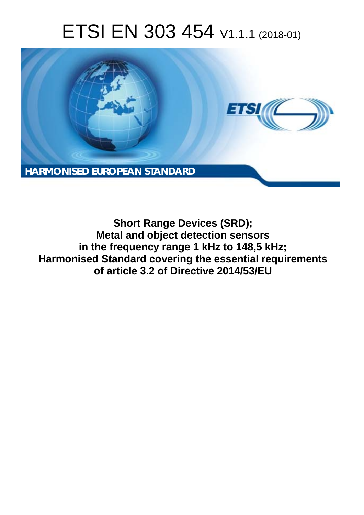# ETSI EN 303 454 V1.1.1 (2018-01)



**Short Range Devices (SRD); Metal and object detection sensors in the frequency range 1 kHz to 148,5 kHz; Harmonised Standard covering the essential requirements of article 3.2 of Directive 2014/53/EU**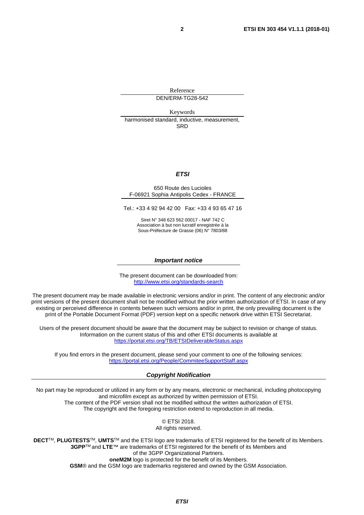Reference DEN/ERM-TG28-542

Keywords harmonised standard, inductive, measurement, SRD

#### *ETSI*

#### 650 Route des Lucioles F-06921 Sophia Antipolis Cedex - FRANCE

Tel.: +33 4 92 94 42 00 Fax: +33 4 93 65 47 16

Siret N° 348 623 562 00017 - NAF 742 C Association à but non lucratif enregistrée à la Sous-Préfecture de Grasse (06) N° 7803/88

#### *Important notice*

The present document can be downloaded from: <http://www.etsi.org/standards-search>

The present document may be made available in electronic versions and/or in print. The content of any electronic and/or print versions of the present document shall not be modified without the prior written authorization of ETSI. In case of any existing or perceived difference in contents between such versions and/or in print, the only prevailing document is the print of the Portable Document Format (PDF) version kept on a specific network drive within ETSI Secretariat.

Users of the present document should be aware that the document may be subject to revision or change of status. Information on the current status of this and other ETSI documents is available at <https://portal.etsi.org/TB/ETSIDeliverableStatus.aspx>

If you find errors in the present document, please send your comment to one of the following services: <https://portal.etsi.org/People/CommiteeSupportStaff.aspx>

#### *Copyright Notification*

No part may be reproduced or utilized in any form or by any means, electronic or mechanical, including photocopying and microfilm except as authorized by written permission of ETSI. The content of the PDF version shall not be modified without the written authorization of ETSI. The copyright and the foregoing restriction extend to reproduction in all media.

> © ETSI 2018. All rights reserved.

**DECT**TM, **PLUGTESTS**TM, **UMTS**TM and the ETSI logo are trademarks of ETSI registered for the benefit of its Members. **3GPP**TM and **LTE**™ are trademarks of ETSI registered for the benefit of its Members and of the 3GPP Organizational Partners. **oneM2M** logo is protected for the benefit of its Members.

**GSM**® and the GSM logo are trademarks registered and owned by the GSM Association.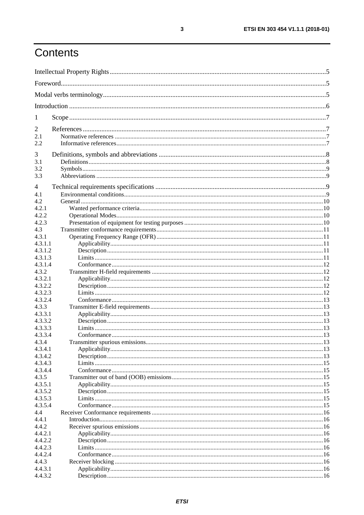## Contents

| $\mathbf{I}$       |  |  |  |  |
|--------------------|--|--|--|--|
| 2                  |  |  |  |  |
| 2.1<br>2.2         |  |  |  |  |
| 3                  |  |  |  |  |
| 3.1                |  |  |  |  |
| 3.2                |  |  |  |  |
| 3.3                |  |  |  |  |
| 4                  |  |  |  |  |
| 4.1                |  |  |  |  |
| 4.2                |  |  |  |  |
| 4.2.1              |  |  |  |  |
| 4.2.2              |  |  |  |  |
| 4.2.3              |  |  |  |  |
| 4.3                |  |  |  |  |
| 4.3.1              |  |  |  |  |
| 4.3.1.1            |  |  |  |  |
| 4.3.1.2            |  |  |  |  |
| 4.3.1.3            |  |  |  |  |
| 4.3.1.4<br>4.3.2   |  |  |  |  |
| 4.3.2.1            |  |  |  |  |
| 4.3.2.2            |  |  |  |  |
| 4.3.2.3            |  |  |  |  |
| 4.3.2.4            |  |  |  |  |
| 4.3.3              |  |  |  |  |
| 4.3.3.1            |  |  |  |  |
| 4.3.3.2            |  |  |  |  |
| 4.3.3.3            |  |  |  |  |
| 4.3.3.4            |  |  |  |  |
| 4.3.4              |  |  |  |  |
| 4.3.4.1            |  |  |  |  |
| 4.3.4.2            |  |  |  |  |
| 4.3.4.3            |  |  |  |  |
| 4.3.4.4            |  |  |  |  |
| 4.3.5              |  |  |  |  |
| 4.3.5.1<br>4.3.5.2 |  |  |  |  |
| 4.3.5.3            |  |  |  |  |
| 4.3.5.4            |  |  |  |  |
| 4.4                |  |  |  |  |
| 4.4.1              |  |  |  |  |
| 4.4.2              |  |  |  |  |
| 4.4.2.1            |  |  |  |  |
| 4.4.2.2            |  |  |  |  |
| 4.4.2.3            |  |  |  |  |
| 4.4.2.4            |  |  |  |  |
| 4.4.3              |  |  |  |  |
| 4.4.3.1            |  |  |  |  |
| 4.4.3.2            |  |  |  |  |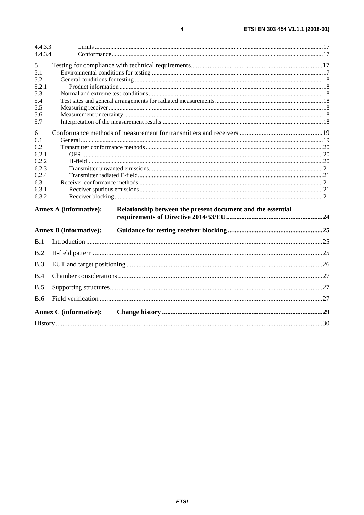| 4.4.3.3    |                                                                                              |  |  |  |
|------------|----------------------------------------------------------------------------------------------|--|--|--|
| 4.4.3.4    |                                                                                              |  |  |  |
| 5          |                                                                                              |  |  |  |
| 5.1        |                                                                                              |  |  |  |
| 5.2        |                                                                                              |  |  |  |
| 5.2.1      |                                                                                              |  |  |  |
| 5.3        |                                                                                              |  |  |  |
| 5.4        |                                                                                              |  |  |  |
| 5.5        |                                                                                              |  |  |  |
| 5.6        |                                                                                              |  |  |  |
| 5.7        |                                                                                              |  |  |  |
| 6          |                                                                                              |  |  |  |
| 6.1        |                                                                                              |  |  |  |
| 6.2        |                                                                                              |  |  |  |
| 6.2.1      |                                                                                              |  |  |  |
| 6.2.2      |                                                                                              |  |  |  |
| 6.2.3      |                                                                                              |  |  |  |
| 6.2.4      |                                                                                              |  |  |  |
| 6.3        |                                                                                              |  |  |  |
| 6.3.1      |                                                                                              |  |  |  |
| 6.3.2      |                                                                                              |  |  |  |
|            | <b>Annex A (informative):</b><br>Relationship between the present document and the essential |  |  |  |
|            |                                                                                              |  |  |  |
|            | <b>Annex B (informative):</b>                                                                |  |  |  |
| B.1        |                                                                                              |  |  |  |
| B.2        |                                                                                              |  |  |  |
| B.3        |                                                                                              |  |  |  |
| B.4        |                                                                                              |  |  |  |
| B.5        |                                                                                              |  |  |  |
| <b>B.6</b> |                                                                                              |  |  |  |
|            | <b>Annex C</b> (informative):                                                                |  |  |  |
|            |                                                                                              |  |  |  |
|            |                                                                                              |  |  |  |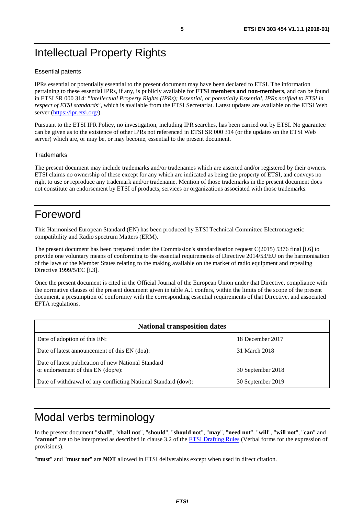## <span id="page-4-0"></span>Intellectual Property Rights

#### Essential patents

IPRs essential or potentially essential to the present document may have been declared to ETSI. The information pertaining to these essential IPRs, if any, is publicly available for **ETSI members and non-members**, and can be found in ETSI SR 000 314: *"Intellectual Property Rights (IPRs); Essential, or potentially Essential, IPRs notified to ETSI in respect of ETSI standards"*, which is available from the ETSI Secretariat. Latest updates are available on the ETSI Web server ([https://ipr.etsi.org/\)](https://ipr.etsi.org/).

Pursuant to the ETSI IPR Policy, no investigation, including IPR searches, has been carried out by ETSI. No guarantee can be given as to the existence of other IPRs not referenced in ETSI SR 000 314 (or the updates on the ETSI Web server) which are, or may be, or may become, essential to the present document.

#### **Trademarks**

The present document may include trademarks and/or tradenames which are asserted and/or registered by their owners. ETSI claims no ownership of these except for any which are indicated as being the property of ETSI, and conveys no right to use or reproduce any trademark and/or tradename. Mention of those trademarks in the present document does not constitute an endorsement by ETSI of products, services or organizations associated with those trademarks.

## Foreword

This Harmonised European Standard (EN) has been produced by ETSI Technical Committee Electromagnetic compatibility and Radio spectrum Matters (ERM).

The present document has been prepared under the Commission's standardisation request C(2015) 5376 final [\[i.6\]](#page-7-0) to provide one voluntary means of conforming to the essential requirements of Directive 2014/53/EU on the harmonisation of the laws of the Member States relating to the making available on the market of radio equipment and repealing Directive 1999/5/EC [\[i.3\]](#page-7-0).

Once the present document is cited in the Official Journal of the European Union under that Directive, compliance with the normative clauses of the present document given in table A.1 confers, within the limits of the scope of the present document, a presumption of conformity with the corresponding essential requirements of that Directive, and associated EFTA regulations.

| <b>National transposition dates</b>                                                       |                   |  |  |
|-------------------------------------------------------------------------------------------|-------------------|--|--|
| Date of adoption of this EN:                                                              | 18 December 2017  |  |  |
| Date of latest announcement of this EN (doa):                                             | 31 March 2018     |  |  |
| Date of latest publication of new National Standard<br>or endorsement of this EN (dop/e): | 30 September 2018 |  |  |
| Date of withdrawal of any conflicting National Standard (dow):                            | 30 September 2019 |  |  |

## Modal verbs terminology

In the present document "**shall**", "**shall not**", "**should**", "**should not**", "**may**", "**need not**", "**will**", "**will not**", "**can**" and "**cannot**" are to be interpreted as described in clause 3.2 of the [ETSI Drafting Rules](https://portal.etsi.org/Services/editHelp!/Howtostart/ETSIDraftingRules.aspx) (Verbal forms for the expression of provisions).

"**must**" and "**must not**" are **NOT** allowed in ETSI deliverables except when used in direct citation.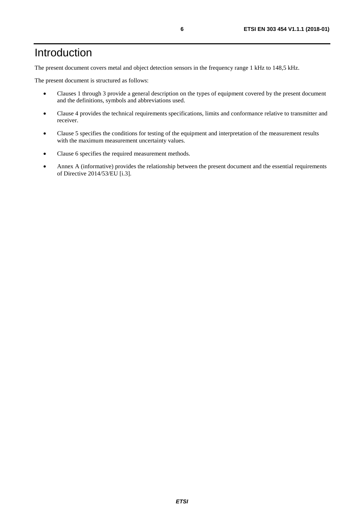## <span id="page-5-0"></span>Introduction

The present document covers metal and object detection sensors in the frequency range 1 kHz to 148,5 kHz.

The present document is structured as follows:

- Clauses 1 through 3 provide a general description on the types of equipment covered by the present document and the definitions, symbols and abbreviations used.
- Clause 4 provides the technical requirements specifications, limits and conformance relative to transmitter and receiver.
- Clause 5 specifies the conditions for testing of the equipment and interpretation of the measurement results with the maximum measurement uncertainty values.
- Clause 6 specifies the required measurement methods.
- Annex A (informative) provides the relationship between the present document and the essential requirements of Directive 2014/53/EU [\[i.3](#page-7-0)].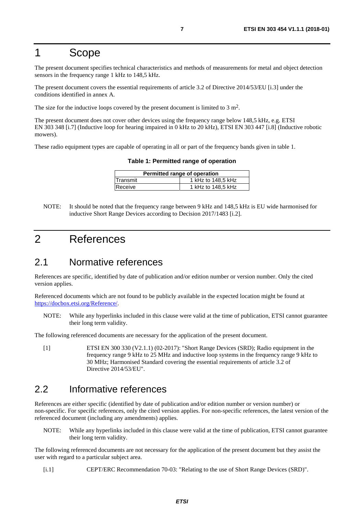## <span id="page-6-0"></span>1 Scope

The present document specifies technical characteristics and methods of measurements for metal and object detection sensors in the frequency range 1 kHz to 148,5 kHz.

The present document covers the essential requirements of article 3.2 of Directive 2014/53/EU [\[i.3\]](#page-7-0) under the conditions identified in annex A.

The size for the inductive loops covered by the present document is limited to 3 m<sup>2</sup>.

The present document does not cover other devices using the frequency range below 148,5 kHz, e.g. ETSI EN 303 348 [[i.7](#page-7-0)] (Inductive loop for hearing impaired in 0 kHz to 20 kHz), ETSI EN 303 447 [\[i.8](#page-7-0)] (Inductive robotic mowers).

These radio equipment types are capable of operating in all or part of the frequency bands given in table 1.

**Table 1: Permitted range of operation** 

| Permitted range of operation |                    |  |  |
|------------------------------|--------------------|--|--|
| Transmit                     | 1 kHz to 148.5 kHz |  |  |
| Receive                      | 1 kHz to 148,5 kHz |  |  |

NOTE: It should be noted that the frequency range between 9 kHz and 148,5 kHz is EU wide harmonised for inductive Short Range Devices according to Decision 2017/1483 [[i.2](#page-7-0)].

## 2 References

## 2.1 Normative references

References are specific, identified by date of publication and/or edition number or version number. Only the cited version applies.

Referenced documents which are not found to be publicly available in the expected location might be found at <https://docbox.etsi.org/Reference/>.

NOTE: While any hyperlinks included in this clause were valid at the time of publication, ETSI cannot guarantee their long term validity.

The following referenced documents are necessary for the application of the present document.

[1] ETSI EN 300 330 (V2.1.1) (02-2017): "Short Range Devices (SRD); Radio equipment in the frequency range 9 kHz to 25 MHz and inductive loop systems in the frequency range 9 kHz to 30 MHz; Harmonised Standard covering the essential requirements of article 3.2 of Directive 2014/53/EU".

## 2.2 Informative references

References are either specific (identified by date of publication and/or edition number or version number) or non-specific. For specific references, only the cited version applies. For non-specific references, the latest version of the referenced document (including any amendments) applies.

NOTE: While any hyperlinks included in this clause were valid at the time of publication, ETSI cannot guarantee their long term validity.

The following referenced documents are not necessary for the application of the present document but they assist the user with regard to a particular subject area.

[i.1] CEPT/ERC Recommendation 70-03: "Relating to the use of Short Range Devices (SRD)".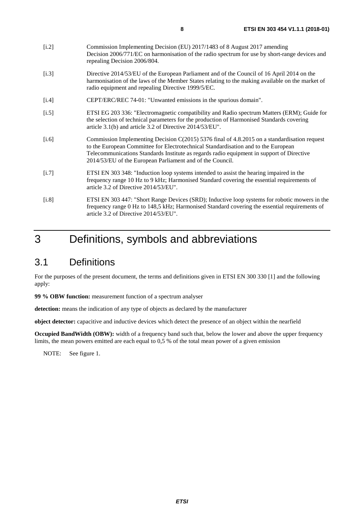- <span id="page-7-0"></span>[i.2] Commission Implementing Decision (EU) 2017/1483 of 8 August 2017 amending Decision 2006/771/EC on harmonisation of the radio spectrum for use by short-range devices and repealing Decision 2006/804.
- [i.3] Directive 2014/53/EU of the European Parliament and of the Council of 16 April 2014 on the harmonisation of the laws of the Member States relating to the making available on the market of radio equipment and repealing Directive 1999/5/EC.
- [i.4] CEPT/ERC/REC 74-01: "Unwanted emissions in the spurious domain".
- [i.5] ETSI EG 203 336: "Electromagnetic compatibility and Radio spectrum Matters (ERM); Guide for the selection of technical parameters for the production of Harmonised Standards covering article 3.1(b) and article 3.2 of Directive 2014/53/EU".
- [i.6] Commission Implementing Decision C(2015) 5376 final of 4.8.2015 on a standardisation request to the European Committee for Electrotechnical Standardisation and to the European Telecommunications Standards Institute as regards radio equipment in support of Directive 2014/53/EU of the European Parliament and of the Council.
- [i.7] ETSI EN 303 348: "Induction loop systems intended to assist the hearing impaired in the frequency range 10 Hz to 9 kHz; Harmonised Standard covering the essential requirements of article 3.2 of Directive 2014/53/EU".
- [i.8] ETSI EN 303 447: "Short Range Devices (SRD); Inductive loop systems for robotic mowers in the frequency range 0 Hz to 148,5 kHz; Harmonised Standard covering the essential requirements of article 3.2 of Directive 2014/53/EU".

## 3 Definitions, symbols and abbreviations

## 3.1 Definitions

For the purposes of the present document, the terms and definitions given in ETSI EN 300 330 [\[1\]](#page-6-0) and the following apply:

**99 % OBW function:** measurement function of a spectrum analyser

**detection:** means the indication of any type of objects as declared by the manufacturer

**object detector:** capacitive and inductive devices which detect the presence of an object within the nearfield

**Occupied BandWidth (OBW):** width of a frequency band such that, below the lower and above the upper frequency limits, the mean powers emitted are each equal to 0,5 % of the total mean power of a given emission

NOTE: See figure 1.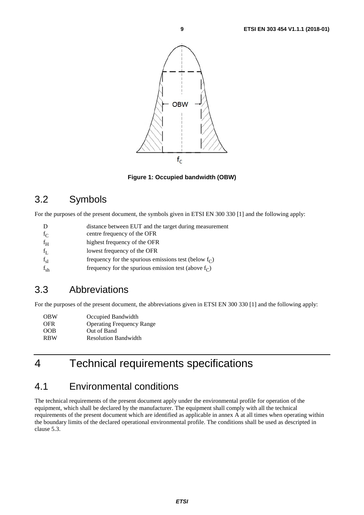<span id="page-8-0"></span>

**Figure 1: Occupied bandwidth (OBW)** 

## 3.2 Symbols

For the purposes of the present document, the symbols given in ETSI EN 300 330 [\[1\]](#page-6-0) and the following apply:

| D | distance between EUT and the target during measurement |
|---|--------------------------------------------------------|
|   | contro froquancy of the OFD                            |

| $1\cap$ | centre requestly of the OPK                          |
|---------|------------------------------------------------------|
| $f_H$   | highest frequency of the OFR                         |
|         | $l$ <sub>owast</sub> fraguancy of the $\triangle$ FD |

- $f_L$  lowest frequency of the OFR
- $f_{sl}$  frequency for the spurious emissions test (below  $f_C$ )

## $f_{sh}$  frequency for the spurious emission test (above  $f_C$ )

## 3.3 Abbreviations

For the purposes of the present document, the abbreviations given in ETSI EN 300 330 [\[1](#page-6-0)] and the following apply:

| <b>OBW</b> | Occupied Bandwidth               |
|------------|----------------------------------|
| <b>OFR</b> | <b>Operating Frequency Range</b> |
| OOB        | Out of Band                      |
| <b>RBW</b> | <b>Resolution Bandwidth</b>      |

## 4 Technical requirements specifications

## 4.1 Environmental conditions

The technical requirements of the present document apply under the environmental profile for operation of the equipment, which shall be declared by the manufacturer. The equipment shall comply with all the technical requirements of the present document which are identified as applicable in annex A at all times when operating within the boundary limits of the declared operational environmental profile. The conditions shall be used as descripted in clause 5.3.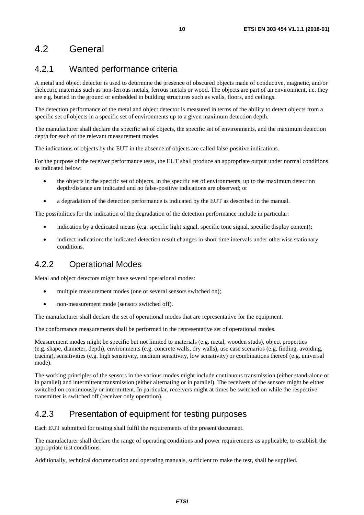## <span id="page-9-0"></span>4.2 General

## 4.2.1 Wanted performance criteria

A metal and object detector is used to determine the presence of obscured objects made of conductive, magnetic, and/or dielectric materials such as non-ferrous metals, ferrous metals or wood. The objects are part of an environment, i.e. they are e.g. buried in the ground or embedded in building structures such as walls, floors, and ceilings.

The detection performance of the metal and object detector is measured in terms of the ability to detect objects from a specific set of objects in a specific set of environments up to a given maximum detection depth.

The manufacturer shall declare the specific set of objects, the specific set of environments, and the maximum detection depth for each of the relevant measurement modes.

The indications of objects by the EUT in the absence of objects are called false-positive indications.

For the purpose of the receiver performance tests, the EUT shall produce an appropriate output under normal conditions as indicated below:

- the objects in the specific set of objects, in the specific set of environments, up to the maximum detection depth/distance are indicated and no false-positive indications are observed; or
- a degradation of the detection performance is indicated by the EUT as described in the manual.

The possibilities for the indication of the degradation of the detection performance include in particular:

- indication by a dedicated means (e.g. specific light signal, specific tone signal, specific display content);
- indirect indication: the indicated detection result changes in short time intervals under otherwise stationary conditions.

## 4.2.2 Operational Modes

Metal and object detectors might have several operational modes:

- multiple measurement modes (one or several sensors switched on);
- non-measurement mode (sensors switched off).

The manufacturer shall declare the set of operational modes that are representative for the equipment.

The conformance measurements shall be performed in the representative set of operational modes.

Measurement modes might be specific but not limited to materials (e.g. metal, wooden studs), object properties (e.g. shape, diameter, depth), environments (e.g. concrete walls, dry walls), use case scenarios (e.g. finding, avoiding, tracing), sensitivities (e.g. high sensitivity, medium sensitivity, low sensitivity) or combinations thereof (e.g. universal mode).

The working principles of the sensors in the various modes might include continuous transmission (either stand-alone or in parallel) and intermittent transmission (either alternating or in parallel). The receivers of the sensors might be either switched on continuously or intermittent. In particular, receivers might at times be switched on while the respective transmitter is switched off (receiver only operation).

## 4.2.3 Presentation of equipment for testing purposes

Each EUT submitted for testing shall fulfil the requirements of the present document.

The manufacturer shall declare the range of operating conditions and power requirements as applicable, to establish the appropriate test conditions.

Additionally, technical documentation and operating manuals, sufficient to make the test, shall be supplied.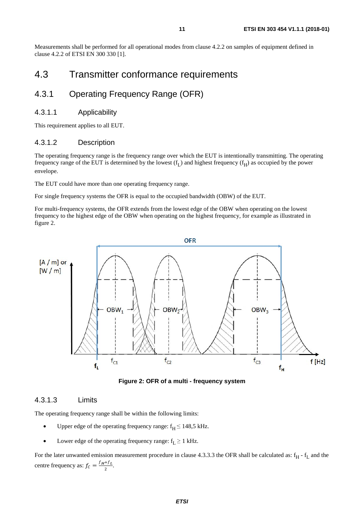<span id="page-10-0"></span>Measurements shall be performed for all operational modes from clause 4.2.2 on samples of equipment defined in clause 4.2.2 of ETSI EN 300 330 [\[1](#page-6-0)].

## 4.3 Transmitter conformance requirements

## 4.3.1 Operating Frequency Range (OFR)

### 4.3.1.1 Applicability

This requirement applies to all EUT.

### 4.3.1.2 Description

The operating frequency range is the frequency range over which the EUT is intentionally transmitting. The operating frequency range of the EUT is determined by the lowest  $(f_L)$  and highest frequency  $(f_H)$  as occupied by the power envelope.

The EUT could have more than one operating frequency range.

For single frequency systems the OFR is equal to the occupied bandwidth (OBW) of the EUT.

For multi-frequency systems, the OFR extends from the lowest edge of the OBW when operating on the lowest frequency to the highest edge of the OBW when operating on the highest frequency, for example as illustrated in figure 2.



**Figure 2: OFR of a multi - frequency system** 

#### 4.3.1.3 Limits

The operating frequency range shall be within the following limits:

- Upper edge of the operating frequency range:  $f_H \le 148.5$  kHz.
- Lower edge of the operating frequency range:  $f_L \geq 1$  kHz.

For the later unwanted emission measurement procedure in clause 4.3.3.3 the OFR shall be calculated as:  $f_H - f_L$  and the centre frequency as:  $f_c = \frac{f_H + f_L}{2}$ .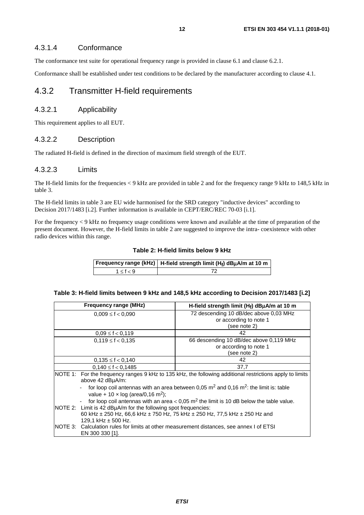### <span id="page-11-0"></span>4.3.1.4 Conformance

The conformance test suite for operational frequency range is provided in clause 6.1 and clause 6.2.1.

Conformance shall be established under test conditions to be declared by the manufacturer according to clause 4.1.

### 4.3.2 Transmitter H-field requirements

### 4.3.2.1 Applicability

This requirement applies to all EUT.

### 4.3.2.2 Description

The radiated H-field is defined in the direction of maximum field strength of the EUT.

#### 4.3.2.3 Limits

The H-field limits for the frequencies < 9 kHz are provided in table 2 and for the frequency range 9 kHz to 148,5 kHz in table 3.

The H-field limits in table 3 are EU wide harmonised for the SRD category "inductive devices" according to Decision 2017/1483 [[i.2](#page-7-0)]. Further information is available in CEPT/ERC/REC 70-03 [[i.1](#page-6-0)].

For the frequency < 9 kHz no frequency usage conditions were known and available at the time of preparation of the present document. However, the H-field limits in table 2 are suggested to improve the intra- coexistence with other radio devices within this range.

| Table 2: H-field limits below 9 kHz |  |
|-------------------------------------|--|
|-------------------------------------|--|

|           | Frequency range (kHz)   H-field strength limit (H <sub>f</sub> ) dBµA/m at 10 m |
|-----------|---------------------------------------------------------------------------------|
| 1 < f < 9 |                                                                                 |

#### **Table 3: H-field limits between 9 kHz and 148,5 kHz according to Decision 2017/1483 [\[i.2\]](#page-7-0)**

| <b>Frequency range (MHz)</b>                                                                                                                                   | H-field strength limit $(H_f)$ dB $\mu$ A/m at 10 m                                      |  |  |
|----------------------------------------------------------------------------------------------------------------------------------------------------------------|------------------------------------------------------------------------------------------|--|--|
| $0,009 \le f < 0,090$                                                                                                                                          | 72 descending 10 dB/dec above 0,03 MHz                                                   |  |  |
|                                                                                                                                                                | or according to note 1                                                                   |  |  |
|                                                                                                                                                                | (see note 2)                                                                             |  |  |
| $0.09 \le f < 0.119$                                                                                                                                           | 42                                                                                       |  |  |
| $0,119 \le f < 0,135$                                                                                                                                          | 66 descending 10 dB/dec above 0,119 MHz                                                  |  |  |
|                                                                                                                                                                | or according to note 1                                                                   |  |  |
|                                                                                                                                                                | (see note 2)                                                                             |  |  |
| $0,135 \le f < 0,140$                                                                                                                                          | 42                                                                                       |  |  |
| $0,140 \le f < 0,1485$                                                                                                                                         | 37,7                                                                                     |  |  |
| NOTE 1: For the frequency ranges 9 kHz to 135 kHz, the following additional restrictions apply to limits<br>above 42 dBuA/m:                                   |                                                                                          |  |  |
| for loop coil antennas with an area between 0,05 $\mathrm{m}^2$ and 0,16 $\mathrm{m}^2$ : the limit is: table<br>value + 10 x log (area/0,16 m <sup>2</sup> ); |                                                                                          |  |  |
| for loop coil antennas with an area $<$ 0,05 m <sup>2</sup> the limit is 10 dB below the table value.                                                          |                                                                                          |  |  |
| NOTE 2: Limit is 42 dBuA/m for the following spot frequencies:                                                                                                 |                                                                                          |  |  |
| 60 kHz $\pm$ 250 Hz, 66,6 kHz $\pm$ 750 Hz, 75 kHz $\pm$ 250 Hz, 77,5 kHz $\pm$ 250 Hz and                                                                     |                                                                                          |  |  |
| 129.1 kHz $\pm$ 500 Hz.                                                                                                                                        |                                                                                          |  |  |
|                                                                                                                                                                | NOTE 3: Calculation rules for limits at other measurement distances, see annex I of ETSI |  |  |
| EN 300 330 [1].                                                                                                                                                |                                                                                          |  |  |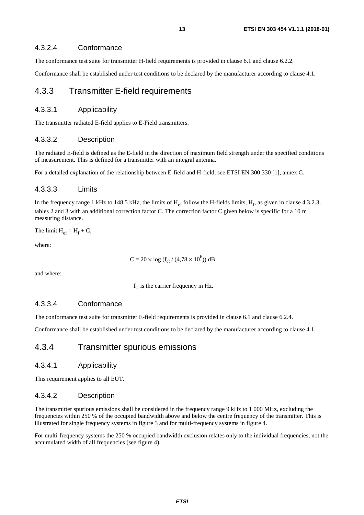### <span id="page-12-0"></span>4.3.2.4 Conformance

The conformance test suite for transmitter H-field requirements is provided in clause 6.1 and clause 6.2.2.

Conformance shall be established under test conditions to be declared by the manufacturer according to clause 4.1.

### 4.3.3 Transmitter E-field requirements

### 4.3.3.1 Applicability

The transmitter radiated E-field applies to E-Field transmitters.

### 4.3.3.2 Description

The radiated E-field is defined as the E-field in the direction of maximum field strength under the specified conditions of measurement. This is defined for a transmitter with an integral antenna.

For a detailed explanation of the relationship between E-field and H-field, see ETSI EN 300 330 [\[1](#page-6-0)], annex G.

### 4.3.3.3 Limits

In the frequency range 1 kHz to 148,5 kHz, the limits of  $H_{ef}$  follow the H-fields limits,  $H_f$ , as given in clause 4.3.2.3, tables 2 and 3 with an additional correction factor C. The correction factor C given below is specific for a 10 m measuring distance.

The limit  $H_{ef} = H_f + C$ ;

where:

 $C = 20 \times \log (f_C / (4.78 \times 10^6))$  dB;

and where:

 $f<sub>C</sub>$  is the carrier frequency in Hz.

### 4.3.3.4 Conformance

The conformance test suite for transmitter E-field requirements is provided in clause 6.1 and clause 6.2.4.

Conformance shall be established under test conditions to be declared by the manufacturer according to clause 4.1.

### 4.3.4 Transmitter spurious emissions

### 4.3.4.1 Applicability

This requirement applies to all EUT.

### 4.3.4.2 Description

The transmitter spurious emissions shall be considered in the frequency range 9 kHz to 1 000 MHz, excluding the frequencies within 250 % of the occupied bandwidth above and below the centre frequency of the transmitter. This is illustrated for single frequency systems in figure 3 and for multi-frequency systems in figure 4.

For multi-frequency systems the 250 % occupied bandwidth exclusion relates only to the individual frequencies, not the accumulated width of all frequencies (see figure 4).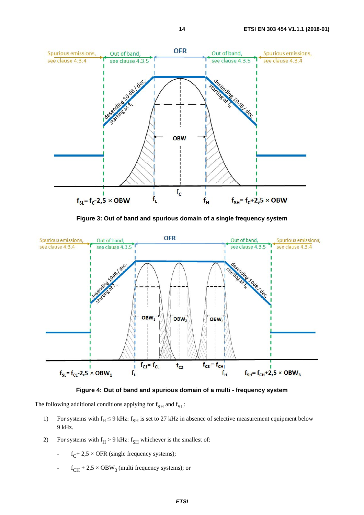

**Figure 3: Out of band and spurious domain of a single frequency system** 





The following additional conditions applying for  $f_{\text{SH}}$  and  $f_{\text{SI}}$ :

- 1) For systems with  $f_H \le 9$  kHz:  $f_{SH}$  is set to 27 kHz in absence of selective measurement equipment below 9 kHz.
- 2) For systems with  $f_H > 9$  kHz:  $f_{SH}$  whichever is the smallest of:
	- $f_C$ + 2,5 × OFR (single frequency systems);
	- $f_{CH}$  + 2,5  $\times$  OBW<sub>3</sub> (multi frequency systems); or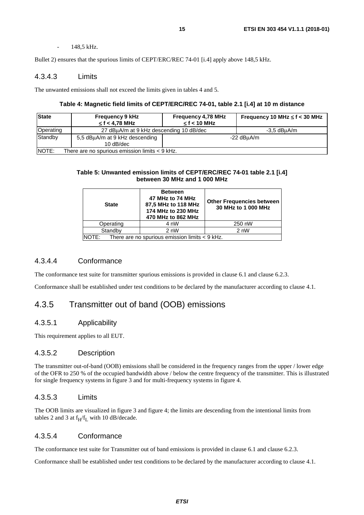#### - 148,5 kHz.

<span id="page-14-0"></span>Bullet 2) ensures that the spurious limits of CEPT/ERC/REC 74-01 [\[i.4](#page-7-0)] apply above 148,5 kHz.

#### 4.3.4.3 Limits

The unwanted emissions shall not exceed the limits given in tables 4 and 5.

#### **Table 4: Magnetic field limits of CEPT/ERC/REC 74-01, table 2.1 [[i.4\]](#page-7-0) at 10 m distance**

| <b>State</b>                                                     | <b>Frequency 9 kHz</b><br>$\leq$ f < 4.78 MHz | <b>Frequency 4,78 MHz</b><br>$\leq$ f < 10 MHz | Frequency 10 MHz $\leq$ f < 30 MHz |
|------------------------------------------------------------------|-----------------------------------------------|------------------------------------------------|------------------------------------|
| Operating<br>27 dBuA/m at 9 kHz descending 10 dB/dec             |                                               |                                                | $-3.5$ dBuA/m                      |
| Standby<br>5.5 dBuA/m at 9 kHz descending<br>$10$ dB/dec         |                                               | -22 dBuA/m                                     |                                    |
| <b>NOTE:</b><br>There are no spurious emission limits $<$ 9 kHz. |                                               |                                                |                                    |

#### **Table 5: Unwanted emission limits of CEPT/ERC/REC 74-01 table 2.1 [[i.4\]](#page-7-0) between 30 MHz and 1 000 MHz**

| <b>State</b>                                             | <b>Between</b><br>47 MHz to 74 MHz<br>87,5 MHz to 118 MHz<br>174 MHz to 230 MHz<br>470 MHz to 862 MHz | <b>Other Frequencies between</b><br>30 MHz to 1 000 MHz |
|----------------------------------------------------------|-------------------------------------------------------------------------------------------------------|---------------------------------------------------------|
| Operating                                                | 4 nW                                                                                                  | 250 nW                                                  |
| Standby                                                  | 2 nW                                                                                                  | 2 nW                                                    |
| There are no spurious emission limits < 9 kHz.<br>INOTE: |                                                                                                       |                                                         |

### 4.3.4.4 Conformance

The conformance test suite for transmitter spurious emissions is provided in clause 6.1 and clause 6.2.3.

Conformance shall be established under test conditions to be declared by the manufacturer according to clause 4.1.

### 4.3.5 Transmitter out of band (OOB) emissions

### 4.3.5.1 Applicability

This requirement applies to all EUT.

### 4.3.5.2 Description

The transmitter out-of-band (OOB) emissions shall be considered in the frequency ranges from the upper / lower edge of the OFR to 250 % of the occupied bandwidth above / below the centre frequency of the transmitter. This is illustrated for single frequency systems in figure 3 and for multi-frequency systems in figure 4.

#### 4.3.5.3 Limits

The OOB limits are visualized in figure 3 and figure 4; the limits are descending from the intentional limits from tables 2 and 3 at  $f_H/f_L$  with 10 dB/decade.

#### 4.3.5.4 Conformance

The conformance test suite for Transmitter out of band emissions is provided in clause 6.1 and clause 6.2.3.

Conformance shall be established under test conditions to be declared by the manufacturer according to clause 4.1.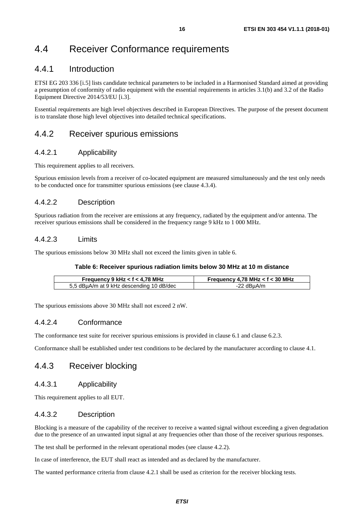## <span id="page-15-0"></span>4.4 Receiver Conformance requirements

### 4.4.1 Introduction

ETSI EG 203 336 [[i.5](#page-7-0)] lists candidate technical parameters to be included in a Harmonised Standard aimed at providing a presumption of conformity of radio equipment with the essential requirements in articles 3.1(b) and 3.2 of the Radio Equipment Directive 2014/53/EU [[i.3](#page-7-0)].

Essential requirements are high level objectives described in European Directives. The purpose of the present document is to translate those high level objectives into detailed technical specifications.

### 4.4.2 Receiver spurious emissions

### 4.4.2.1 Applicability

This requirement applies to all receivers.

Spurious emission levels from a receiver of co-located equipment are measured simultaneously and the test only needs to be conducted once for transmitter spurious emissions (see clause 4.3.4).

### 4.4.2.2 Description

Spurious radiation from the receiver are emissions at any frequency, radiated by the equipment and/or antenna. The receiver spurious emissions shall be considered in the frequency range 9 kHz to 1 000 MHz.

### 4.4.2.3 Limits

The spurious emissions below 30 MHz shall not exceed the limits given in table 6.

#### **Table 6: Receiver spurious radiation limits below 30 MHz at 10 m distance**

| Frequency 9 kHz $<$ f $<$ 4,78 MHz       | Frequency 4,78 MHz < $f$ < 30 MHz |  |
|------------------------------------------|-----------------------------------|--|
| 5,5 dBµA/m at 9 kHz descending 10 dB/dec | $-22$ dBuA/m                      |  |

The spurious emissions above 30 MHz shall not exceed 2 nW.

### 4.4.2.4 Conformance

The conformance test suite for receiver spurious emissions is provided in clause 6.1 and clause 6.2.3.

Conformance shall be established under test conditions to be declared by the manufacturer according to clause 4.1.

### 4.4.3 Receiver blocking

### 4.4.3.1 Applicability

This requirement applies to all EUT.

### 4.4.3.2 Description

Blocking is a measure of the capability of the receiver to receive a wanted signal without exceeding a given degradation due to the presence of an unwanted input signal at any frequencies other than those of the receiver spurious responses.

The test shall be performed in the relevant operational modes (see clause 4.2.2).

In case of interference, the EUT shall react as intended and as declared by the manufacturer.

The wanted performance criteria from clause 4.2.1 shall be used as criterion for the receiver blocking tests.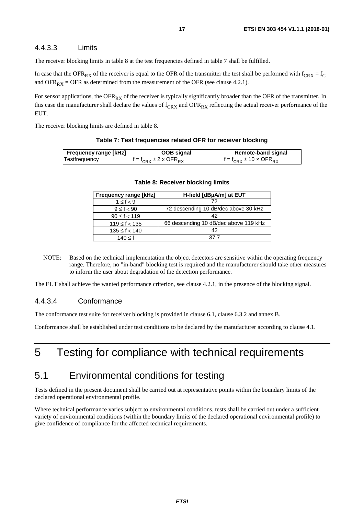### <span id="page-16-0"></span>4.4.3.3 Limits

The receiver blocking limits in table 8 at the test frequencies defined in table 7 shall be fulfilled.

In case that the OFR<sub>RX</sub> of the receiver is equal to the OFR of the transmitter the test shall be performed with  $f_{CRX} = f_C$ and OFR<sub>RX</sub> = OFR as determined from the measurement of the OFR (see clause 4.2.1).

For sensor applications, the  $OFR_{RX}$  of the receiver is typically significantly broader than the OFR of the transmitter. In this case the manufacturer shall declare the values of  $f_{CRX}$  and  $OFR_{RX}$  reflecting the actual receiver performance of the EUT.

The receiver blocking limits are defined in table 8.

| <b>Frequency range [kHz]</b> | OOB signal                                 | Remote-band signal                   |
|------------------------------|--------------------------------------------|--------------------------------------|
| Testfrequency                | $f = f_{CPY} \pm 2 \times \text{OFR}_{PY}$ | $f = f_{CPY} \pm 10 \times OFR_{PY}$ |

**Table 7: Test frequencies related OFR for receiver blocking** 

| <b>Frequency range [kHz]</b> | H-field [dBµA/m] at EUT               |
|------------------------------|---------------------------------------|
| $1 \leq f < 9$               | 72                                    |
| $9 \le f < 90$               | 72 descending 10 dB/dec above 30 kHz  |
| $90 \le f < 119$             | 42                                    |
| $119 \le f < 135$            | 66 descending 10 dB/dec above 119 kHz |
| $135 \le f < 140$            | 42                                    |
| 140 < f                      | 37.7                                  |

#### **Table 8: Receiver blocking limits**

NOTE: Based on the technical implementation the object detectors are sensitive within the operating frequency range. Therefore, no "in-band" blocking test is required and the manufacturer should take other measures to inform the user about degradation of the detection performance.

The EUT shall achieve the wanted performance criterion, see clause 4.2.1, in the presence of the blocking signal.

### 4.4.3.4 Conformance

The conformance test suite for receiver blocking is provided in clause 6.1, clause 6.3.2 and annex B.

Conformance shall be established under test conditions to be declared by the manufacturer according to clause 4.1.

## 5 Testing for compliance with technical requirements

## 5.1 Environmental conditions for testing

Tests defined in the present document shall be carried out at representative points within the boundary limits of the declared operational environmental profile.

Where technical performance varies subject to environmental conditions, tests shall be carried out under a sufficient variety of environmental conditions (within the boundary limits of the declared operational environmental profile) to give confidence of compliance for the affected technical requirements.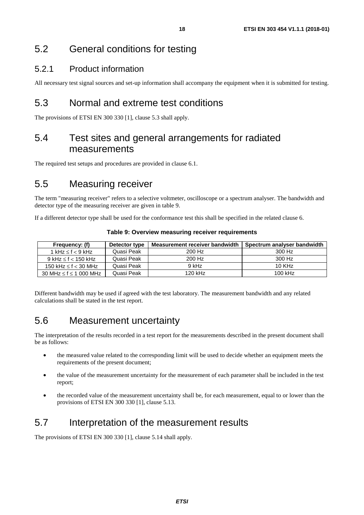## <span id="page-17-0"></span>5.2 General conditions for testing

## 5.2.1 Product information

All necessary test signal sources and set-up information shall accompany the equipment when it is submitted for testing.

## 5.3 Normal and extreme test conditions

The provisions of ETSI EN 300 330 [\[1\]](#page-6-0), clause 5.3 shall apply.

## 5.4 Test sites and general arrangements for radiated measurements

The required test setups and procedures are provided in clause 6.1.

## 5.5 Measuring receiver

The term "measuring receiver" refers to a selective voltmeter, oscilloscope or a spectrum analyser. The bandwidth and detector type of the measuring receiver are given in table 9.

If a different detector type shall be used for the conformance test this shall be specified in the related clause 6.

| Frequency: (f)                   | Detector type | Measurement receiver bandwidth | Spectrum analyser bandwidth |
|----------------------------------|---------------|--------------------------------|-----------------------------|
| 1 kHz $\leq$ f $<$ 9 kHz         | Quasi Peak    | 200 Hz                         | 300 Hz                      |
| $9$ kHz $\leq$ f $<$ 150 kHz     | Quasi Peak    | 200 Hz                         | 300 Hz                      |
| 150 kHz $\leq$ f $<$ 30 MHz      | Quasi Peak    | 9 kHz                          | $10$ KHz                    |
| 30 MHz $\leq$ f $\leq$ 1 000 MHz | Quasi Peak    | 120 kHz                        | 100 kHz                     |

**Table 9: Overview measuring receiver requirements** 

Different bandwidth may be used if agreed with the test laboratory. The measurement bandwidth and any related calculations shall be stated in the test report.

## 5.6 Measurement uncertainty

The interpretation of the results recorded in a test report for the measurements described in the present document shall be as follows:

- the measured value related to the corresponding limit will be used to decide whether an equipment meets the requirements of the present document;
- the value of the measurement uncertainty for the measurement of each parameter shall be included in the test report;
- the recorded value of the measurement uncertainty shall be, for each measurement, equal to or lower than the provisions of ETSI EN 300 330 [\[1](#page-6-0)], clause 5.13.

## 5.7 Interpretation of the measurement results

The provisions of ETSI EN 300 330 [\[1\]](#page-6-0), clause 5.14 shall apply.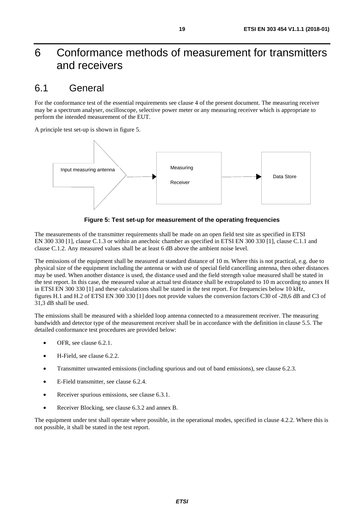## <span id="page-18-0"></span>6 Conformance methods of measurement for transmitters and receivers

## 6.1 General

For the conformance test of the essential requirements see clause 4 of the present document. The measuring receiver may be a spectrum analyser, oscilloscope, selective power meter or any measuring receiver which is appropriate to perform the intended measurement of the EUT.

A principle test set-up is shown in figure 5.



#### **Figure 5: Test set-up for measurement of the operating frequencies**

The measurements of the transmitter requirements shall be made on an open field test site as specified in ETSI EN 300 330 [[1\]](#page-6-0), clause C.1.3 or within an anechoic chamber as specified in ETSI EN 300 330 [\[1\]](#page-6-0), clause C.1.1 and clause C.1.2. Any measured values shall be at least 6 dB above the ambient noise level.

The emissions of the equipment shall be measured at standard distance of 10 m. Where this is not practical, e.g. due to physical size of the equipment including the antenna or with use of special field cancelling antenna, then other distances may be used. When another distance is used, the distance used and the field strength value measured shall be stated in the test report. In this case, the measured value at actual test distance shall be extrapolated to 10 m according to annex H in ETSI EN 300 330 [\[1\]](#page-6-0) and these calculations shall be stated in the test report. For frequencies below 10 kHz, figures H.1 and H.2 of ETSI EN 300 330 [[1\]](#page-6-0) does not provide values the conversion factors C30 of -28,6 dB and C3 of 31,3 dB shall be used.

The emissions shall be measured with a shielded loop antenna connected to a measurement receiver. The measuring bandwidth and detector type of the measurement receiver shall be in accordance with the definition in clause 5.5. The detailed conformance test procedures are provided below:

- OFR, see clause 6.2.1.
- H-Field, see clause 6.2.2.
- Transmitter unwanted emissions (including spurious and out of band emissions), see clause 6.2.3.
- E-Field transmitter, see clause 6.2.4.
- Receiver spurious emissions, see clause 6.3.1.
- Receiver Blocking, see clause 6.3.2 and annex B.

The equipment under test shall operate where possible, in the operational modes, specified in clause 4.2.2. Where this is not possible, it shall be stated in the test report.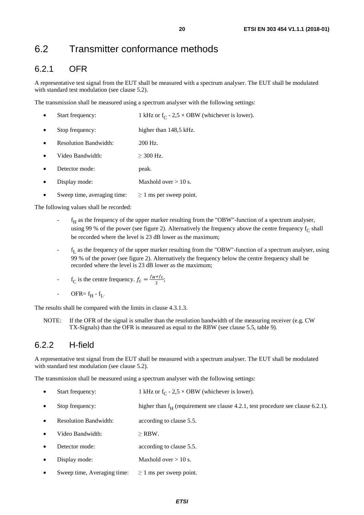## <span id="page-19-0"></span>6.2 Transmitter conformance methods

## 6.2.1 OFR

A representative test signal from the EUT shall be measured with a spectrum analyser. The EUT shall be modulated with standard test modulation (see clause 5.2).

The transmission shall be measured using a spectrum analyser with the following settings:

| Start frequency:             | 1 kHz or $f_C$ - 2,5 $\times$ OBW (whichever is lower). |
|------------------------------|---------------------------------------------------------|
| Stop frequency:              | higher than 148,5 kHz.                                  |
| <b>Resolution Bandwidth:</b> | $200$ Hz.                                               |
| Video Bandwidth:             | $>$ 300 Hz.                                             |
| Detector mode:               | peak.                                                   |
| Display mode:                | Maxhold over $> 10$ s.                                  |

Sweep time, averaging time:  $\geq 1$  ms per sweep point.

The following values shall be recorded:

- $f_H$  as the frequency of the upper marker resulting from the "OBW"-function of a spectrum analyser, using 99 % of the power (see figure 2). Alternatively the frequency above the centre frequency  $f_C$  shall be recorded where the level is 23 dB lower as the maximum;
- $f<sub>I</sub>$  as the frequency of the upper marker resulting from the "OBW"-function of a spectrum analyser, using 99 % of the power (see figure 2). Alternatively the frequency below the centre frequency shall be recorded where the level is 23 dB lower as the maximum;
- $f_C$  is the centre frequency.  $f_C = \frac{f_H + f_L}{2}$ ;
- OFR=  $f_H f_L$ .

The results shall be compared with the limits in clause 4.3.1.3.

NOTE: If the OFR of the signal is smaller than the resolution bandwidth of the measuring receiver (e.g. CW TX-Signals) than the OFR is measured as equal to the RBW (see clause 5.5, table 9).

## 6.2.2 H-field

A representative test signal from the EUT shall be measured with a spectrum analyser. The EUT shall be modulated with standard test modulation (see clause 5.2).

The transmission shall be measured using a spectrum analyser with the following settings:

- Start frequency: 1 kHz or  $f_C$  2,5 × OBW (whichever is lower).
- Stop frequency: higher than  $f<sub>H</sub>$  (requirement see clause 4.2.1, test procedure see clause 6.2.1).
- Resolution Bandwidth: according to clause 5.5.
- Video Bandwidth:  $\geq$  RBW.
- **Detector mode:** according to clause 5.5.
- Display mode: Maxhold over  $> 10$  s.
- Sweep time, Averaging time:  $\geq 1$  ms per sweep point.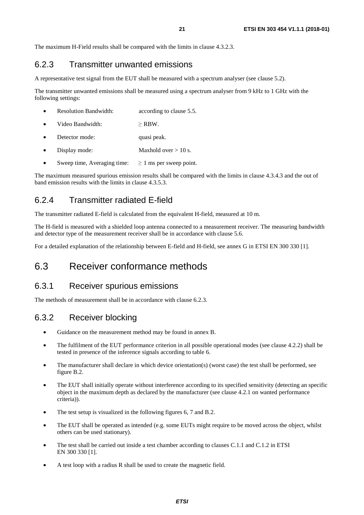<span id="page-20-0"></span>The maximum H-Field results shall be compared with the limits in clause 4.3.2.3.

### 6.2.3 Transmitter unwanted emissions

A representative test signal from the EUT shall be measured with a spectrum analyser (see clause 5.2).

The transmitter unwanted emissions shall be measured using a spectrum analyser from 9 kHz to 1 GHz with the following settings:

- Resolution Bandwidth:  $\qquad \qquad \text{according to clause 5.5.}$
- Video Bandwidth: ≥ RBW.
- Detector mode: quasi peak.
- Display mode: Maxhold over > 10 s.
- Sweep time, Averaging time:  $\geq 1$  ms per sweep point.

The maximum measured spurious emission results shall be compared with the limits in clause 4.3.4.3 and the out of band emission results with the limits in clause 4.3.5.3.

## 6.2.4 Transmitter radiated E-field

The transmitter radiated E-field is calculated from the equivalent H-field, measured at 10 m.

The H-field is measured with a shielded loop antenna connected to a measurement receiver. The measuring bandwidth and detector type of the measurement receiver shall be in accordance with clause 5.6.

For a detailed explanation of the relationship between E-field and H-field, see annex G in ETSI EN 300 330 [[1\]](#page-6-0).

## 6.3 Receiver conformance methods

## 6.3.1 Receiver spurious emissions

The methods of measurement shall be in accordance with clause 6.2.3.

## 6.3.2 Receiver blocking

- Guidance on the measurement method may be found in annex B.
- The fulfilment of the EUT performance criterion in all possible operational modes (see clause 4.2.2) shall be tested in presence of the inference signals according to table 6.
- The manufacturer shall declare in which device orientation(s) (worst case) the test shall be performed, see figure B.2.
- The EUT shall initially operate without interference according to its specified sensitivity (detecting an specific object in the maximum depth as declared by the manufacturer (see clause 4.2.1 on wanted performance criteria)).
- The test setup is visualized in the following figures 6, 7 and B.2.
- The EUT shall be operated as intended (e.g. some EUTs might require to be moved across the object, whilst others can be used stationary).
- The test shall be carried out inside a test chamber according to clauses C.1.1 and C.1.2 in ETSI EN 300 330 [\[1\]](#page-6-0).
- A test loop with a radius R shall be used to create the magnetic field.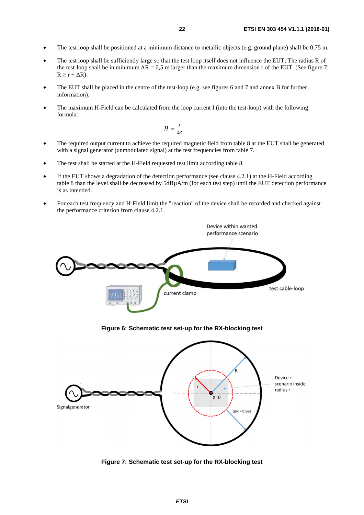- The test loop shall be positioned at a minimum distance to metallic objects (e.g. ground plane) shall be 0,75 m.
- The test loop shall be sufficiently large so that the test loop itself does not influence the EUT; The radius R of the test-loop shall be in minimum  $\Delta R = 0.5$  m larger than the maximum dimension r of the EUT. (See figure 7:  $R \ge r + \Delta R$ ).
- The EUT shall be placed in the centre of the test-loop (e.g. see figures 6 and 7 and annex B for further information).
- The maximum H-Field can be calculated from the loop current I (into the test-loop) with the following formula:

$$
H=\frac{I}{2R}
$$

- The required output current to achieve the required magnetic field from table 8 at the EUT shall be generated with a signal generator (unmodulated signal) at the test frequencies from table 7.
- The test shall be started at the H-Field requested test limit according table 8.
- If the EUT shows a degradation of the detection performance (see clause 4.2.1) at the H-Field according table 8 than the level shall be decreased by 5dBµA/m (for each test step) until the EUT detection performance is as intended.
- For each test frequency and H-Field limit the "reaction" of the device shall be recorded and checked against the performance criterion from clause 4.2.1.



**Figure 7: Schematic test set-up for the RX-blocking test**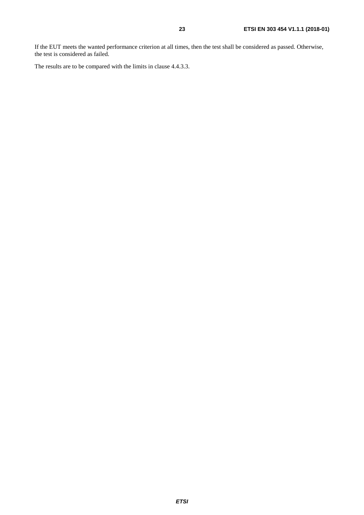If the EUT meets the wanted performance criterion at all times, then the test shall be considered as passed. Otherwise, the test is considered as failed.

The results are to be compared with the limits in clause 4.4.3.3.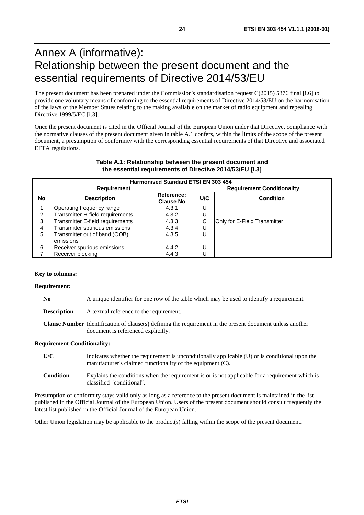## <span id="page-23-0"></span>Annex A (informative): Relationship between the present document and the essential requirements of Directive 2014/53/EU

The present document has been prepared under the Commission's standardisation request C(2015) 5376 final [\[i.6\]](#page-7-0) to provide one voluntary means of conforming to the essential requirements of Directive 2014/53/EU on the harmonisation of the laws of the Member States relating to the making available on the market of radio equipment and repealing Directive 1999/5/EC [\[i.3\]](#page-7-0).

Once the present document is cited in the Official Journal of the European Union under that Directive, compliance with the normative clauses of the present document given in table A.1 confers, within the limits of the scope of the present document, a presumption of conformity with the corresponding essential requirements of that Directive and associated EFTA regulations.

| <b>Harmonised Standard ETSI EN 303 454</b> |                                  |                                |     |                                   |  |
|--------------------------------------------|----------------------------------|--------------------------------|-----|-----------------------------------|--|
| <b>Requirement</b>                         |                                  |                                |     | <b>Requirement Conditionality</b> |  |
| No.                                        | <b>Description</b>               | Reference:<br><b>Clause No</b> | U/C | <b>Condition</b>                  |  |
|                                            | Operating frequency range        | 4.3.1                          | U   |                                   |  |
| 2                                          | Transmitter H-field requirements | 4.3.2                          |     |                                   |  |
| 3                                          | Transmitter E-field requirements | 4.3.3                          | С   | Only for E-Field Transmitter      |  |
| 4                                          | Transmitter spurious emissions   | 4.3.4                          | U   |                                   |  |
| 5                                          | Transmitter out of band (OOB)    | 4.3.5                          | U   |                                   |  |
|                                            | emissions                        |                                |     |                                   |  |
| 6                                          | Receiver spurious emissions      | 4.4.2                          | U   |                                   |  |
|                                            | Receiver blocking                | 4.4.3                          |     |                                   |  |

#### **Table A.1: Relationship between the present document and the essential requirements of Directive 2014/53/EU [\[i.3](#page-7-0)]**

#### **Key to columns:**

#### **Requirement:**

| N <sub>0</sub>     | A unique identifier for one row of the table which may be used to identify a requirement.                                                              |
|--------------------|--------------------------------------------------------------------------------------------------------------------------------------------------------|
| <b>Description</b> | A textual reference to the requirement.                                                                                                                |
|                    | <b>Clause Number</b> Identification of clause(s) defining the requirement in the present document unless another<br>document is referenced explicitly. |

#### **Requirement Conditionality:**

| U/C              | Indicates whether the requirement is unconditionally applicable (U) or is conditional upon the<br>manufacturer's claimed functionality of the equipment (C). |
|------------------|--------------------------------------------------------------------------------------------------------------------------------------------------------------|
| <b>Condition</b> | Explains the conditions when the requirement is or is not applicable for a requirement which is<br>classified "conditional".                                 |

Presumption of conformity stays valid only as long as a reference to the present document is maintained in the list published in the Official Journal of the European Union. Users of the present document should consult frequently the latest list published in the Official Journal of the European Union.

Other Union legislation may be applicable to the product(s) falling within the scope of the present document.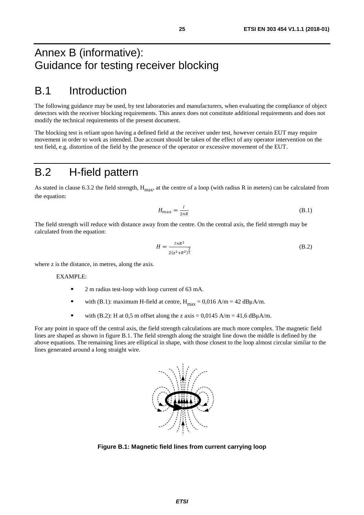## <span id="page-24-0"></span>Annex B (informative): Guidance for testing receiver blocking

## B.1 Introduction

The following guidance may be used, by test laboratories and manufacturers, when evaluating the compliance of object detectors with the receiver blocking requirements. This annex does not constitute additional requirements and does not modify the technical requirements of the present document.

The blocking test is reliant upon having a defined field at the receiver under test, however certain EUT may require movement in order to work as intended. Due account should be taken of the effect of any operator intervention on the test field, e.g. distortion of the field by the presence of the operator or excessive movement of the EUT.

## B.2 H-field pattern

As stated in clause 6.3.2 the field strength,  $H_{\text{max}}$ , at the centre of a loop (with radius R in meters) can be calculated from the equation:

$$
H_{max} = \frac{I}{2 \times R} \tag{B.1}
$$

The field strength will reduce with distance away from the centre. On the central axis, the field strength may be calculated from the equation:

$$
H = \frac{I \times R^2}{2(z^2 + R^2)^{\frac{3}{2}}} \tag{B.2}
$$

where z is the distance, in metres, along the axis.

#### EXAMPLE:

- 2 m radius test-loop with loop current of 63 mA.
- with (B.1): maximum H-field at centre,  $H_{\text{max}} = 0.016 \text{ A/m} = 42 \text{ dB} \mu \text{A/m}$ .
- with (B.2): H at 0,5 m offset along the z axis =  $0.0145$  A/m = 41,6 dB $\mu$ A/m.

For any point in space off the central axis, the field strength calculations are much more complex. The magnetic field lines are shaped as shown in figure B.1. The field strength along the straight line down the middle is defined by the above equations. The remaining lines are elliptical in shape, with those closest to the loop almost circular similar to the lines generated around a long straight wire.



**Figure B.1: Magnetic field lines from current carrying loop**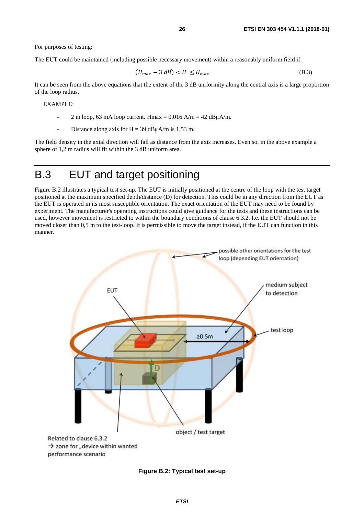<span id="page-25-0"></span>For purposes of testing:

The EUT could be maintained (including possible necessary movement) within a reasonably uniform field if:

$$
(H_{max} - 3 dB) < H \le H_{max} \tag{B.3}
$$

It can be seen from the above equations that the extent of the 3 dB uniformity along the central axis is a large proportion of the loop radius.

#### EXAMPLE:

- 2 m loop, 63 mA loop current. Hmax =  $0,016$  A/m = 42 dB $\mu$ A/m.
- Distance along axis for  $H = 39$  dB $\mu$ A/m is 1,53 m.

The field density in the axial direction will fall as distance from the axis increases. Even so, in the above example a sphere of 1,2 m radius will fit within the 3 dB uniform area.

## B.3 EUT and target positioning

Figure B.2 illustrates a typical test set-up. The EUT is initially positioned at the centre of the loop with the test target positioned at the maximum specified depth/distance (D) for detection. This could be in any direction from the EUT as the EUT is operated in its most susceptible orientation. The exact orientation of the EUT may need to be found by experiment. The manufacturer's operating instructions could give guidance for the tests and these instructions can be used, however movement is restricted to within the boundary conditions of clause 6.3.2. I.e. the EUT should not be moved closer than 0,5 m to the test-loop. It is permissible to move the target instead, if the EUT can function in this manner.



**Figure B.2: Typical test set-up**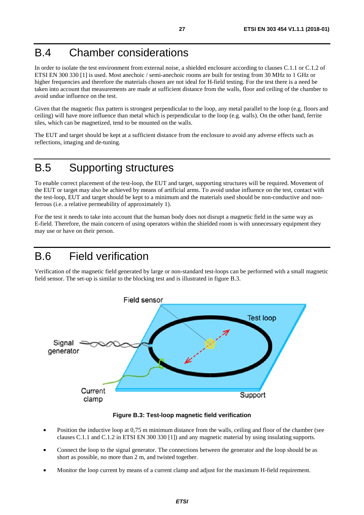## <span id="page-26-0"></span>B.4 Chamber considerations

In order to isolate the test environment from external noise, a shielded enclosure according to clauses C.1.1 or C.1.2 of ETSI EN 300 330 [[1](#page-6-0)] is used. Most anechoic / semi-anechoic rooms are built for testing from 30 MHz to 1 GHz or higher frequencies and therefore the materials chosen are not ideal for H-field testing. For the test there is a need be taken into account that measurements are made at sufficient distance from the walls, floor and ceiling of the chamber to avoid undue influence on the test.

Given that the magnetic flux pattern is strongest perpendicular to the loop, any metal parallel to the loop (e.g. floors and ceiling) will have more influence than metal which is perpendicular to the loop (e.g. walls). On the other hand, ferrite tiles, which can be magnetized, tend to be mounted on the walls.

The EUT and target should be kept at a sufficient distance from the enclosure to avoid any adverse effects such as reflections, imaging and de-tuning.

## B.5 Supporting structures

To enable correct placement of the test-loop, the EUT and target, supporting structures will be required. Movement of the EUT or target may also be achieved by means of artificial arms. To avoid undue influence on the test, contact with the test-loop, EUT and target should be kept to a minimum and the materials used should be non-conductive and nonferrous (i.e. a relative permeability of approximately 1).

For the test it needs to take into account that the human body does not disrupt a magnetic field in the same way as E-field. Therefore, the main concern of using operators within the shielded room is with unnecessary equipment they may use or have on their person.

## B.6 Field verification

Verification of the magnetic field generated by large or non-standard test-loops can be performed with a small magnetic field sensor. The set-up is similar to the blocking test and is illustrated in figure B.3.



**Figure B.3: Test-loop magnetic field verification** 

- Position the inductive loop at 0,75 m minimum distance from the walls, ceiling and floor of the chamber (see clauses C.1.1 and C.1.2 in ETSI EN 300 330 [\[1](#page-6-0)]) and any magnetic material by using insulating supports.
- Connect the loop to the signal generator. The connections between the generator and the loop should be as short as possible, no more than 2 m, and twisted together.
- Monitor the loop current by means of a current clamp and adjust for the maximum H-field requirement.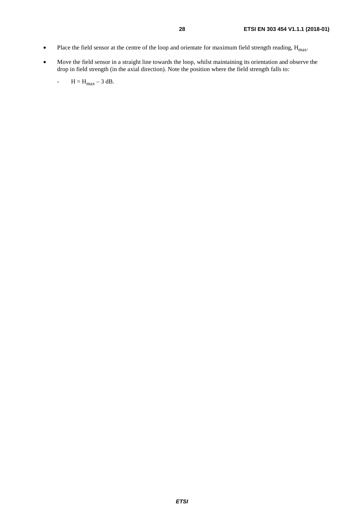- Place the field sensor at the centre of the loop and orientate for maximum field strength reading,  $H_{max}$ .
- Move the field sensor in a straight line towards the loop, whilst maintaining its orientation and observe the drop in field strength (in the axial direction). Note the position where the field strength falls to:

$$
- \qquad H = H_{\text{max}} - 3 \text{ dB}.
$$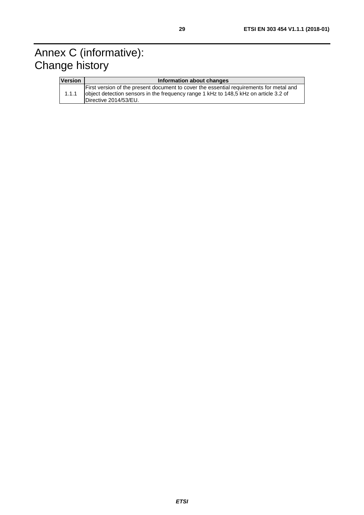## <span id="page-28-0"></span>Annex C (informative): Change history

| <b>Version</b> | Information about changes                                                                                                                                                                                |
|----------------|----------------------------------------------------------------------------------------------------------------------------------------------------------------------------------------------------------|
| 1.1.1          | First version of the present document to cover the essential requirements for metal and<br>object detection sensors in the frequency range 1 kHz to 148,5 kHz on article 3.2 of<br>Directive 2014/53/EU. |